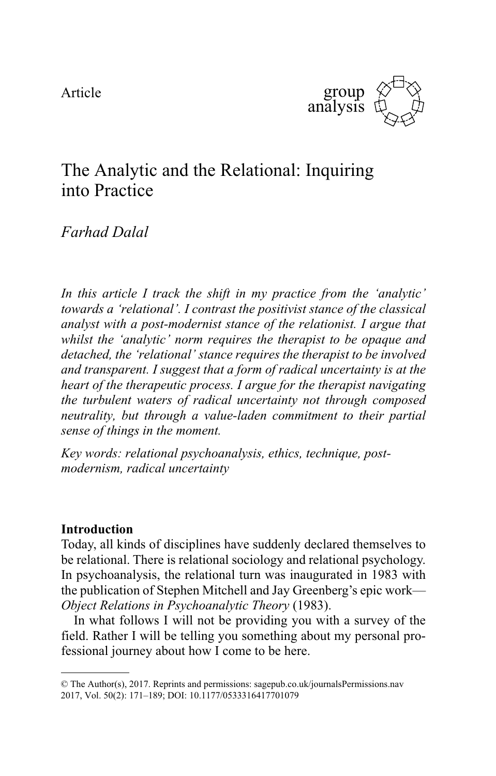Article



# The Analytic and the Relational: Inquiring into Practice

## *Farhad Dalal*

*In this article I track the shift in my practice from the 'analytic' towards a 'relational'. I contrast the positivist stance of the classical analyst with a post-modernist stance of the relationist. I argue that whilst the 'analytic' norm requires the therapist to be opaque and detached, the 'relational' stance requires the therapist to be involved and transparent. I suggest that a form of radical uncertainty is at the heart of the therapeutic process. I argue for the therapist navigating the turbulent waters of radical uncertainty not through composed neutrality, but through a value-laden commitment to their partial sense of things in the moment.*

*Key words: relational psychoanalysis, ethics, technique, postmodernism, radical uncertainty*

## **Introduction**

Today, all kinds of disciplines have suddenly declared themselves to be relational. There is relational sociology and relational psychology. In psychoanalysis, the relational turn was inaugurated in 1983 with the publication of Stephen Mitchell and Jay Greenberg's epic work— *Object Relations in Psychoanalytic Theory* (1983).

In what follows I will not be providing you with a survey of the field. Rather I will be telling you something about my personal professional journey about how I come to be here.

<sup>2017,</sup> Vol. 50(2): 171-189; DOI: 10.1177/0533316417701079 © The Author(s), 2017. Reprints and permissions: sagepu[b.co.uk/journalsPermissions.nav](https://uk.sagepub.com/en-gb/journals-permission)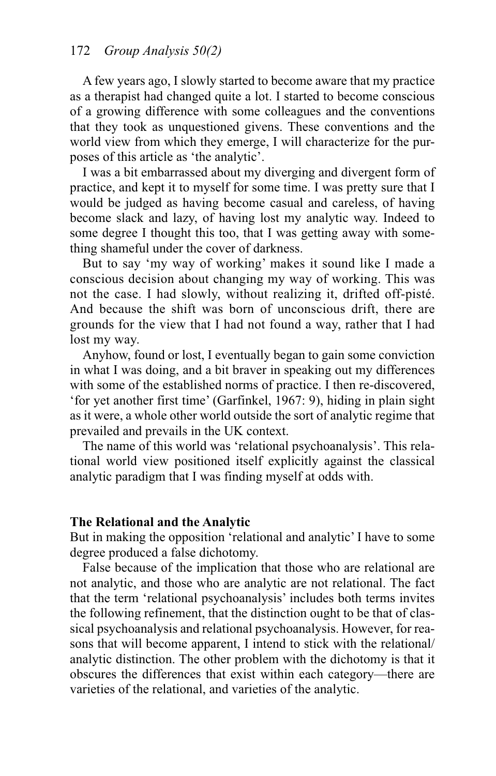## 172 *Group Analysis 50(2)*

A few years ago, I slowly started to become aware that my practice as a therapist had changed quite a lot. I started to become conscious of a growing difference with some colleagues and the conventions that they took as unquestioned givens. These conventions and the world view from which they emerge, I will characterize for the purposes of this article as 'the analytic'.

I was a bit embarrassed about my diverging and divergent form of practice, and kept it to myself for some time. I was pretty sure that I would be judged as having become casual and careless, of having become slack and lazy, of having lost my analytic way. Indeed to some degree I thought this too, that I was getting away with something shameful under the cover of darkness.

But to say 'my way of working' makes it sound like I made a conscious decision about changing my way of working. This was not the case. I had slowly, without realizing it, drifted off-pisté. And because the shift was born of unconscious drift, there are grounds for the view that I had not found a way, rather that I had lost my way.

Anyhow, found or lost, I eventually began to gain some conviction in what I was doing, and a bit braver in speaking out my differences with some of the established norms of practice. I then re-discovered, 'for yet another first time' (Garfinkel, 1967: 9), hiding in plain sight as it were, a whole other world outside the sort of analytic regime that prevailed and prevails in the UK context.

The name of this world was 'relational psychoanalysis'. This relational world view positioned itself explicitly against the classical analytic paradigm that I was finding myself at odds with.

## **The Relational and the Analytic**

But in making the opposition 'relational and analytic' I have to some degree produced a false dichotomy.

False because of the implication that those who are relational are not analytic, and those who are analytic are not relational. The fact that the term 'relational psychoanalysis' includes both terms invites the following refinement, that the distinction ought to be that of classical psychoanalysis and relational psychoanalysis. However, for reasons that will become apparent, I intend to stick with the relational/ analytic distinction. The other problem with the dichotomy is that it obscures the differences that exist within each category—there are varieties of the relational, and varieties of the analytic.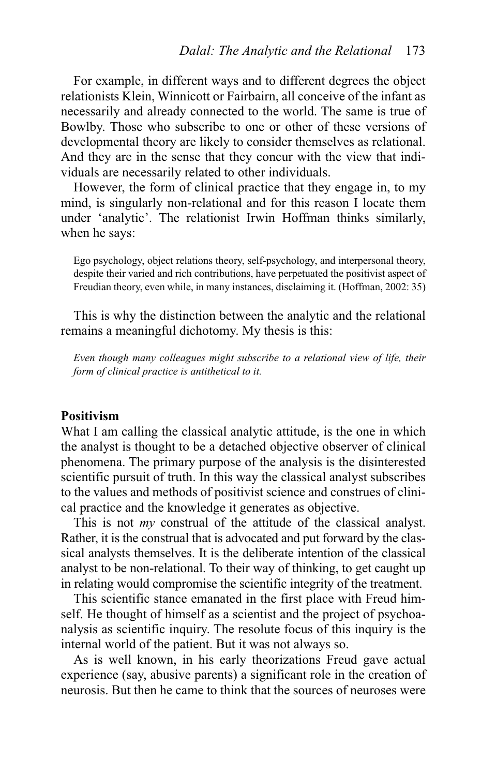For example, in different ways and to different degrees the object relationists Klein, Winnicott or Fairbairn, all conceive of the infant as necessarily and already connected to the world. The same is true of Bowlby. Those who subscribe to one or other of these versions of developmental theory are likely to consider themselves as relational. And they are in the sense that they concur with the view that individuals are necessarily related to other individuals.

However, the form of clinical practice that they engage in, to my mind, is singularly non-relational and for this reason I locate them under 'analytic'. The relationist Irwin Hoffman thinks similarly, when he says:

Ego psychology, object relations theory, self-psychology, and interpersonal theory, despite their varied and rich contributions, have perpetuated the positivist aspect of Freudian theory, even while, in many instances, disclaiming it. (Hoffman, 2002: 35)

This is why the distinction between the analytic and the relational remains a meaningful dichotomy. My thesis is this:

*Even though many colleagues might subscribe to a relational view of life, their form of clinical practice is antithetical to it.*

#### **Positivism**

What I am calling the classical analytic attitude, is the one in which the analyst is thought to be a detached objective observer of clinical phenomena. The primary purpose of the analysis is the disinterested scientific pursuit of truth. In this way the classical analyst subscribes to the values and methods of positivist science and construes of clinical practice and the knowledge it generates as objective.

This is not *my* construal of the attitude of the classical analyst. Rather, it is the construal that is advocated and put forward by the classical analysts themselves. It is the deliberate intention of the classical analyst to be non-relational. To their way of thinking, to get caught up in relating would compromise the scientific integrity of the treatment.

This scientific stance emanated in the first place with Freud himself. He thought of himself as a scientist and the project of psychoanalysis as scientific inquiry. The resolute focus of this inquiry is the internal world of the patient. But it was not always so.

As is well known, in his early theorizations Freud gave actual experience (say, abusive parents) a significant role in the creation of neurosis. But then he came to think that the sources of neuroses were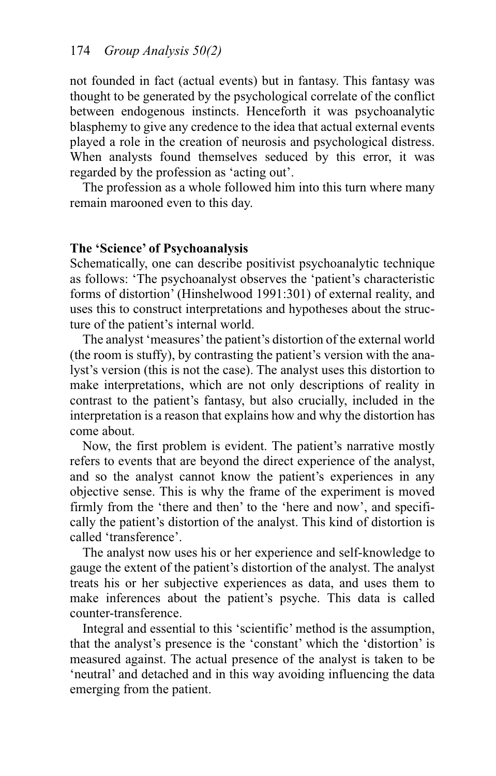not founded in fact (actual events) but in fantasy. This fantasy was thought to be generated by the psychological correlate of the conflict between endogenous instincts. Henceforth it was psychoanalytic blasphemy to give any credence to the idea that actual external events played a role in the creation of neurosis and psychological distress. When analysts found themselves seduced by this error, it was regarded by the profession as 'acting out'.

The profession as a whole followed him into this turn where many remain marooned even to this day.

## **The 'Science' of Psychoanalysis**

Schematically, one can describe positivist psychoanalytic technique as follows: 'The psychoanalyst observes the 'patient's characteristic forms of distortion' (Hinshelwood 1991:301) of external reality, and uses this to construct interpretations and hypotheses about the structure of the patient's internal world.

The analyst 'measures' the patient's distortion of the external world (the room is stuffy), by contrasting the patient's version with the analyst's version (this is not the case). The analyst uses this distortion to make interpretations, which are not only descriptions of reality in contrast to the patient's fantasy, but also crucially, included in the interpretation is a reason that explains how and why the distortion has come about.

Now, the first problem is evident. The patient's narrative mostly refers to events that are beyond the direct experience of the analyst, and so the analyst cannot know the patient's experiences in any objective sense. This is why the frame of the experiment is moved firmly from the 'there and then' to the 'here and now', and specifically the patient's distortion of the analyst. This kind of distortion is called 'transference'.

The analyst now uses his or her experience and self-knowledge to gauge the extent of the patient's distortion of the analyst. The analyst treats his or her subjective experiences as data, and uses them to make inferences about the patient's psyche. This data is called counter-transference.

Integral and essential to this 'scientific' method is the assumption, that the analyst's presence is the 'constant' which the 'distortion' is measured against. The actual presence of the analyst is taken to be 'neutral' and detached and in this way avoiding influencing the data emerging from the patient.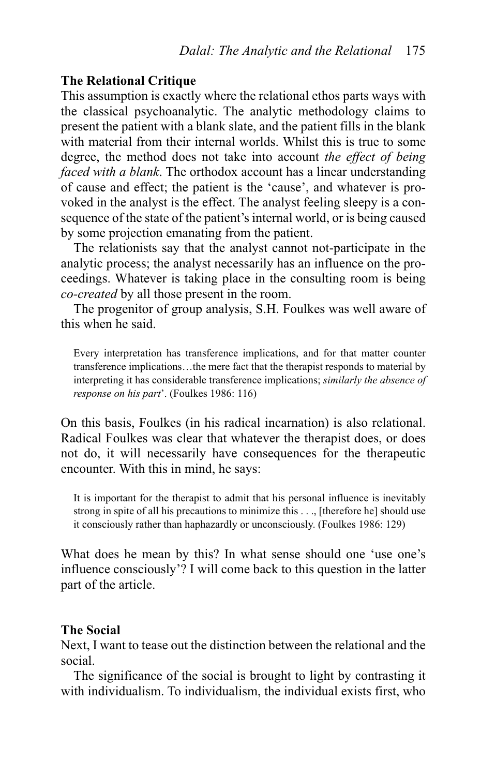## **The Relational Critique**

This assumption is exactly where the relational ethos parts ways with the classical psychoanalytic. The analytic methodology claims to present the patient with a blank slate, and the patient fills in the blank with material from their internal worlds. Whilst this is true to some degree, the method does not take into account *the effect of being faced with a blank*. The orthodox account has a linear understanding of cause and effect; the patient is the 'cause', and whatever is provoked in the analyst is the effect. The analyst feeling sleepy is a consequence of the state of the patient's internal world, or is being caused by some projection emanating from the patient.

The relationists say that the analyst cannot not-participate in the analytic process; the analyst necessarily has an influence on the proceedings. Whatever is taking place in the consulting room is being *co-created* by all those present in the room.

The progenitor of group analysis, S.H. Foulkes was well aware of this when he said.

Every interpretation has transference implications, and for that matter counter transference implications…the mere fact that the therapist responds to material by interpreting it has considerable transference implications; *similarly the absence of response on his part*'. (Foulkes 1986: 116)

On this basis, Foulkes (in his radical incarnation) is also relational. Radical Foulkes was clear that whatever the therapist does, or does not do, it will necessarily have consequences for the therapeutic encounter. With this in mind, he says:

It is important for the therapist to admit that his personal influence is inevitably strong in spite of all his precautions to minimize this . . ., [therefore he] should use it consciously rather than haphazardly or unconsciously. (Foulkes 1986: 129)

What does he mean by this? In what sense should one 'use one's influence consciously'? I will come back to this question in the latter part of the article.

## **The Social**

Next, I want to tease out the distinction between the relational and the social.

The significance of the social is brought to light by contrasting it with individualism. To individualism, the individual exists first, who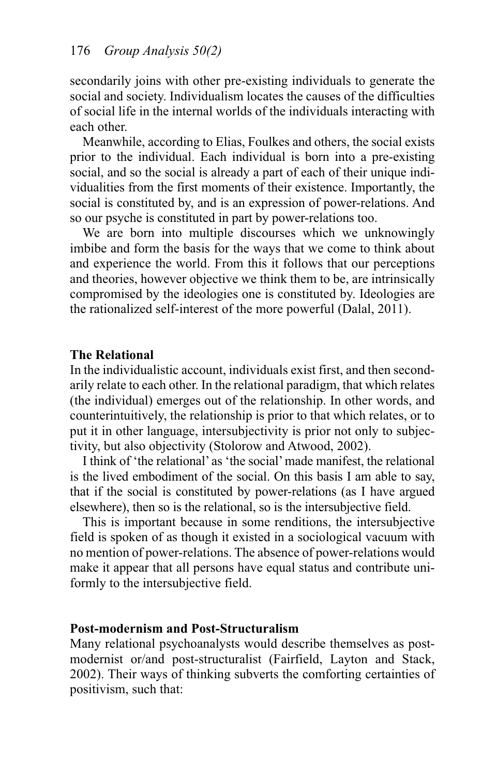secondarily joins with other pre-existing individuals to generate the social and society. Individualism locates the causes of the difficulties of social life in the internal worlds of the individuals interacting with each other.

Meanwhile, according to Elias, Foulkes and others, the social exists prior to the individual. Each individual is born into a pre-existing social, and so the social is already a part of each of their unique individualities from the first moments of their existence. Importantly, the social is constituted by, and is an expression of power-relations. And so our psyche is constituted in part by power-relations too.

We are born into multiple discourses which we unknowingly imbibe and form the basis for the ways that we come to think about and experience the world. From this it follows that our perceptions and theories, however objective we think them to be, are intrinsically compromised by the ideologies one is constituted by. Ideologies are the rationalized self-interest of the more powerful (Dalal, 2011).

## **The Relational**

In the individualistic account, individuals exist first, and then secondarily relate to each other. In the relational paradigm, that which relates (the individual) emerges out of the relationship. In other words, and counterintuitively, the relationship is prior to that which relates, or to put it in other language, intersubjectivity is prior not only to subjectivity, but also objectivity (Stolorow and Atwood, 2002).

I think of 'the relational' as 'the social' made manifest, the relational is the lived embodiment of the social. On this basis I am able to say, that if the social is constituted by power-relations (as I have argued elsewhere), then so is the relational, so is the intersubjective field.

This is important because in some renditions, the intersubjective field is spoken of as though it existed in a sociological vacuum with no mention of power-relations. The absence of power-relations would make it appear that all persons have equal status and contribute uniformly to the intersubjective field.

## **Post-modernism and Post-Structuralism**

Many relational psychoanalysts would describe themselves as postmodernist or/and post-structuralist (Fairfield, Layton and Stack, 2002). Their ways of thinking subverts the comforting certainties of positivism, such that: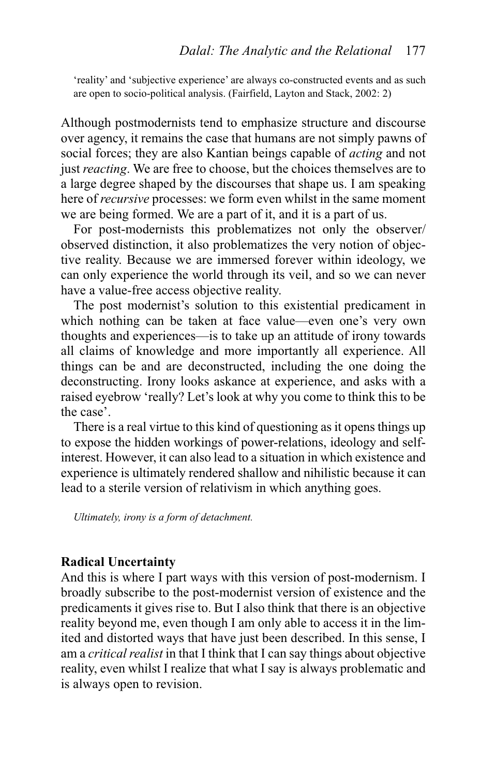'reality' and 'subjective experience' are always co-constructed events and as such are open to socio-political analysis. (Fairfield, Layton and Stack, 2002: 2)

Although postmodernists tend to emphasize structure and discourse over agency, it remains the case that humans are not simply pawns of social forces; they are also Kantian beings capable of *acting* and not just *reacting*. We are free to choose, but the choices themselves are to a large degree shaped by the discourses that shape us. I am speaking here of *recursive* processes: we form even whilst in the same moment we are being formed. We are a part of it, and it is a part of us.

For post-modernists this problematizes not only the observer/ observed distinction, it also problematizes the very notion of objective reality. Because we are immersed forever within ideology, we can only experience the world through its veil, and so we can never have a value-free access objective reality.

The post modernist's solution to this existential predicament in which nothing can be taken at face value—even one's very own thoughts and experiences—is to take up an attitude of irony towards all claims of knowledge and more importantly all experience. All things can be and are deconstructed, including the one doing the deconstructing. Irony looks askance at experience, and asks with a raised eyebrow 'really? Let's look at why you come to think this to be the case'.

There is a real virtue to this kind of questioning as it opens things up to expose the hidden workings of power-relations, ideology and selfinterest. However, it can also lead to a situation in which existence and experience is ultimately rendered shallow and nihilistic because it can lead to a sterile version of relativism in which anything goes.

*Ultimately, irony is a form of detachment.*

#### **Radical Uncertainty**

And this is where I part ways with this version of post-modernism. I broadly subscribe to the post-modernist version of existence and the predicaments it gives rise to. But I also think that there is an objective reality beyond me, even though I am only able to access it in the limited and distorted ways that have just been described. In this sense, I am a *critical realist* in that I think that I can say things about objective reality, even whilst I realize that what I say is always problematic and is always open to revision.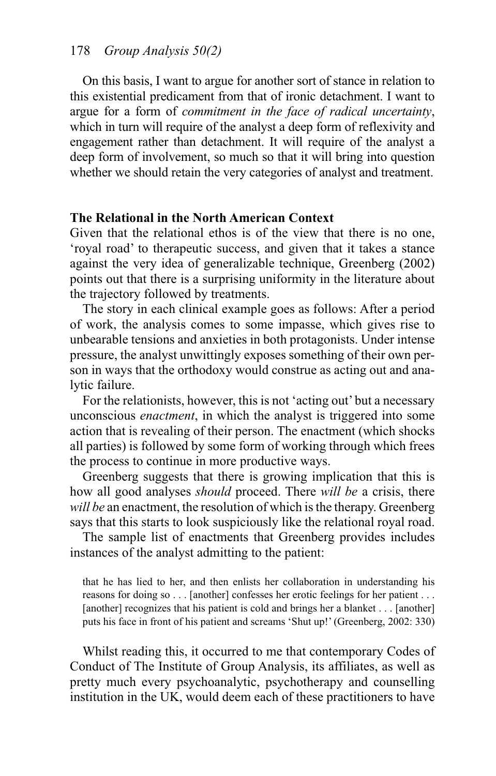On this basis, I want to argue for another sort of stance in relation to this existential predicament from that of ironic detachment. I want to argue for a form of *commitment in the face of radical uncertainty*, which in turn will require of the analyst a deep form of reflexivity and engagement rather than detachment. It will require of the analyst a deep form of involvement, so much so that it will bring into question whether we should retain the very categories of analyst and treatment.

## **The Relational in the North American Context**

Given that the relational ethos is of the view that there is no one, 'royal road' to therapeutic success, and given that it takes a stance against the very idea of generalizable technique, Greenberg (2002) points out that there is a surprising uniformity in the literature about the trajectory followed by treatments.

The story in each clinical example goes as follows: After a period of work, the analysis comes to some impasse, which gives rise to unbearable tensions and anxieties in both protagonists. Under intense pressure, the analyst unwittingly exposes something of their own person in ways that the orthodoxy would construe as acting out and analytic failure.

For the relationists, however, this is not 'acting out' but a necessary unconscious *enactment*, in which the analyst is triggered into some action that is revealing of their person. The enactment (which shocks all parties) is followed by some form of working through which frees the process to continue in more productive ways.

Greenberg suggests that there is growing implication that this is how all good analyses *should* proceed. There *will be* a crisis, there *will be* an enactment, the resolution of which is the therapy. Greenberg says that this starts to look suspiciously like the relational royal road.

The sample list of enactments that Greenberg provides includes instances of the analyst admitting to the patient:

that he has lied to her, and then enlists her collaboration in understanding his reasons for doing so . . . [another] confesses her erotic feelings for her patient . . . [another] recognizes that his patient is cold and brings her a blanket . . . [another] puts his face in front of his patient and screams 'Shut up!' (Greenberg, 2002: 330)

Whilst reading this, it occurred to me that contemporary Codes of Conduct of The Institute of Group Analysis, its affiliates, as well as pretty much every psychoanalytic, psychotherapy and counselling institution in the UK, would deem each of these practitioners to have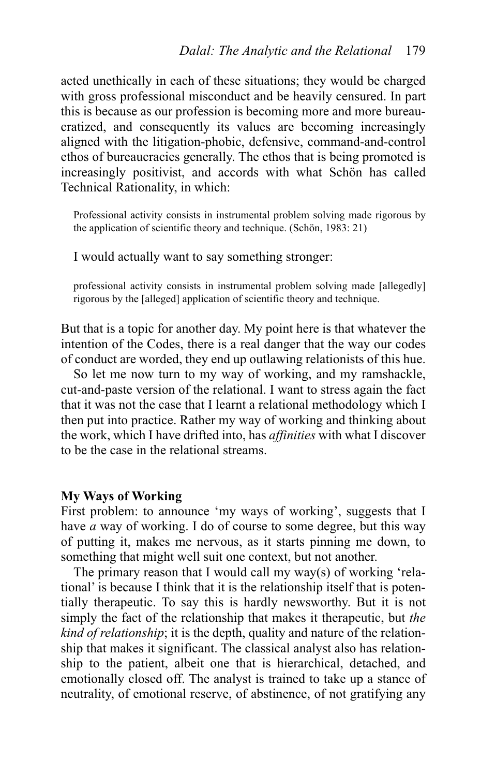acted unethically in each of these situations; they would be charged with gross professional misconduct and be heavily censured. In part this is because as our profession is becoming more and more bureaucratized, and consequently its values are becoming increasingly aligned with the litigation-phobic, defensive, command-and-control ethos of bureaucracies generally. The ethos that is being promoted is increasingly positivist, and accords with what Schön has called Technical Rationality, in which:

Professional activity consists in instrumental problem solving made rigorous by the application of scientific theory and technique. (Schön, 1983: 21)

I would actually want to say something stronger:

professional activity consists in instrumental problem solving made [allegedly] rigorous by the [alleged] application of scientific theory and technique.

But that is a topic for another day. My point here is that whatever the intention of the Codes, there is a real danger that the way our codes of conduct are worded, they end up outlawing relationists of this hue.

So let me now turn to my way of working, and my ramshackle, cut-and-paste version of the relational. I want to stress again the fact that it was not the case that I learnt a relational methodology which I then put into practice. Rather my way of working and thinking about the work, which I have drifted into, has *affinities* with what I discover to be the case in the relational streams.

#### **My Ways of Working**

First problem: to announce 'my ways of working', suggests that I have *a* way of working. I do of course to some degree, but this way of putting it, makes me nervous, as it starts pinning me down, to something that might well suit one context, but not another.

The primary reason that I would call my way(s) of working 'relational' is because I think that it is the relationship itself that is potentially therapeutic. To say this is hardly newsworthy. But it is not simply the fact of the relationship that makes it therapeutic, but *the kind of relationship*; it is the depth, quality and nature of the relationship that makes it significant. The classical analyst also has relationship to the patient, albeit one that is hierarchical, detached, and emotionally closed off. The analyst is trained to take up a stance of neutrality, of emotional reserve, of abstinence, of not gratifying any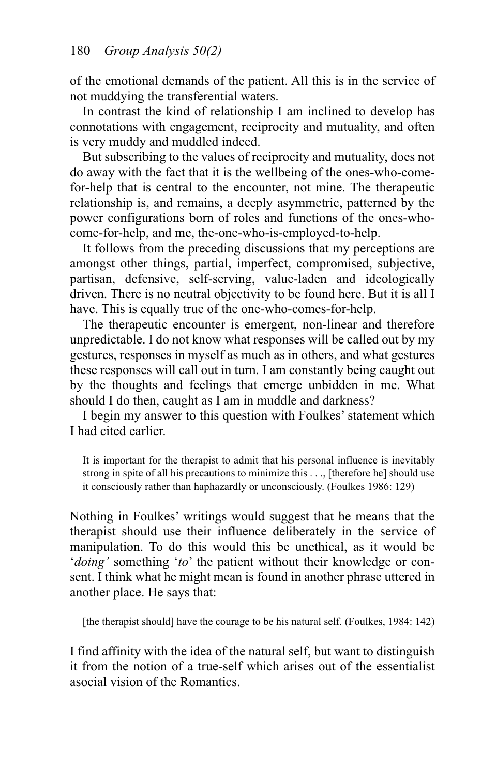of the emotional demands of the patient. All this is in the service of not muddying the transferential waters.

In contrast the kind of relationship I am inclined to develop has connotations with engagement, reciprocity and mutuality, and often is very muddy and muddled indeed.

But subscribing to the values of reciprocity and mutuality, does not do away with the fact that it is the wellbeing of the ones-who-comefor-help that is central to the encounter, not mine. The therapeutic relationship is, and remains, a deeply asymmetric, patterned by the power configurations born of roles and functions of the ones-whocome-for-help, and me, the-one-who-is-employed-to-help.

It follows from the preceding discussions that my perceptions are amongst other things, partial, imperfect, compromised, subjective, partisan, defensive, self-serving, value-laden and ideologically driven. There is no neutral objectivity to be found here. But it is all I have. This is equally true of the one-who-comes-for-help.

The therapeutic encounter is emergent, non-linear and therefore unpredictable. I do not know what responses will be called out by my gestures, responses in myself as much as in others, and what gestures these responses will call out in turn. I am constantly being caught out by the thoughts and feelings that emerge unbidden in me. What should I do then, caught as I am in muddle and darkness?

I begin my answer to this question with Foulkes' statement which I had cited earlier.

It is important for the therapist to admit that his personal influence is inevitably strong in spite of all his precautions to minimize this . . ., [therefore he] should use it consciously rather than haphazardly or unconsciously. (Foulkes 1986: 129)

Nothing in Foulkes' writings would suggest that he means that the therapist should use their influence deliberately in the service of manipulation. To do this would this be unethical, as it would be '*doing'* something '*to*' the patient without their knowledge or consent. I think what he might mean is found in another phrase uttered in another place. He says that:

[the therapist should] have the courage to be his natural self. (Foulkes, 1984: 142)

I find affinity with the idea of the natural self, but want to distinguish it from the notion of a true-self which arises out of the essentialist asocial vision of the Romantics.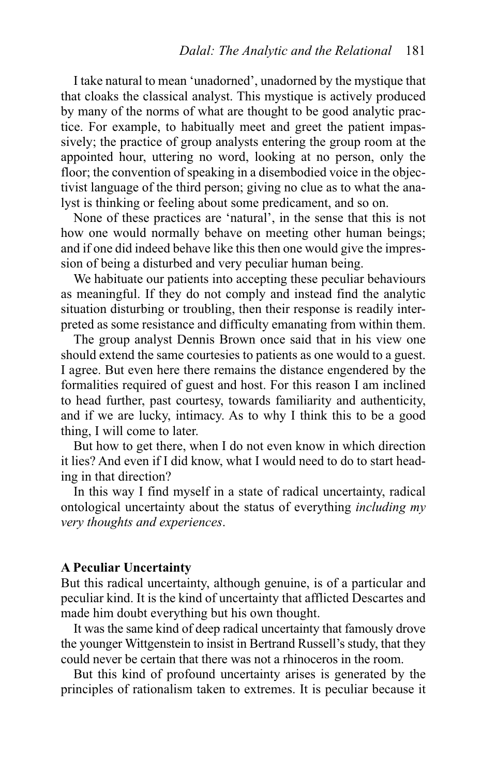I take natural to mean 'unadorned', unadorned by the mystique that that cloaks the classical analyst. This mystique is actively produced by many of the norms of what are thought to be good analytic practice. For example, to habitually meet and greet the patient impassively; the practice of group analysts entering the group room at the appointed hour, uttering no word, looking at no person, only the floor; the convention of speaking in a disembodied voice in the objectivist language of the third person; giving no clue as to what the analyst is thinking or feeling about some predicament, and so on.

None of these practices are 'natural', in the sense that this is not how one would normally behave on meeting other human beings; and if one did indeed behave like this then one would give the impression of being a disturbed and very peculiar human being.

We habituate our patients into accepting these peculiar behaviours as meaningful. If they do not comply and instead find the analytic situation disturbing or troubling, then their response is readily interpreted as some resistance and difficulty emanating from within them.

The group analyst Dennis Brown once said that in his view one should extend the same courtesies to patients as one would to a guest. I agree. But even here there remains the distance engendered by the formalities required of guest and host. For this reason I am inclined to head further, past courtesy, towards familiarity and authenticity, and if we are lucky, intimacy. As to why I think this to be a good thing, I will come to later.

But how to get there, when I do not even know in which direction it lies? And even if I did know, what I would need to do to start heading in that direction?

In this way I find myself in a state of radical uncertainty, radical ontological uncertainty about the status of everything *including my very thoughts and experiences*.

#### **A Peculiar Uncertainty**

But this radical uncertainty, although genuine, is of a particular and peculiar kind. It is the kind of uncertainty that afflicted Descartes and made him doubt everything but his own thought.

It was the same kind of deep radical uncertainty that famously drove the younger Wittgenstein to insist in Bertrand Russell's study, that they could never be certain that there was not a rhinoceros in the room.

But this kind of profound uncertainty arises is generated by the principles of rationalism taken to extremes. It is peculiar because it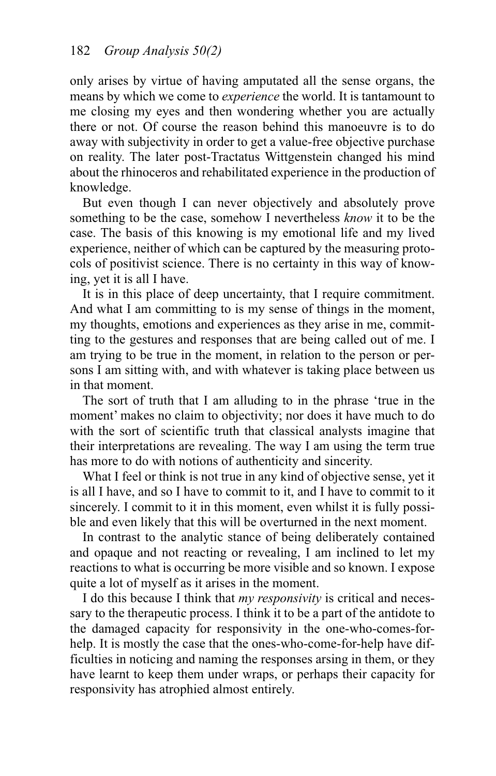only arises by virtue of having amputated all the sense organs, the means by which we come to *experience* the world. It is tantamount to me closing my eyes and then wondering whether you are actually there or not. Of course the reason behind this manoeuvre is to do away with subjectivity in order to get a value-free objective purchase on reality. The later post-Tractatus Wittgenstein changed his mind about the rhinoceros and rehabilitated experience in the production of knowledge.

But even though I can never objectively and absolutely prove something to be the case, somehow I nevertheless *know* it to be the case. The basis of this knowing is my emotional life and my lived experience, neither of which can be captured by the measuring protocols of positivist science. There is no certainty in this way of knowing, yet it is all I have.

It is in this place of deep uncertainty, that I require commitment. And what I am committing to is my sense of things in the moment, my thoughts, emotions and experiences as they arise in me, committing to the gestures and responses that are being called out of me. I am trying to be true in the moment, in relation to the person or persons I am sitting with, and with whatever is taking place between us in that moment.

The sort of truth that I am alluding to in the phrase 'true in the moment' makes no claim to objectivity; nor does it have much to do with the sort of scientific truth that classical analysts imagine that their interpretations are revealing. The way I am using the term true has more to do with notions of authenticity and sincerity.

What I feel or think is not true in any kind of objective sense, yet it is all I have, and so I have to commit to it, and I have to commit to it sincerely. I commit to it in this moment, even whilst it is fully possible and even likely that this will be overturned in the next moment.

In contrast to the analytic stance of being deliberately contained and opaque and not reacting or revealing, I am inclined to let my reactions to what is occurring be more visible and so known. I expose quite a lot of myself as it arises in the moment.

I do this because I think that *my responsivity* is critical and necessary to the therapeutic process. I think it to be a part of the antidote to the damaged capacity for responsivity in the one-who-comes-forhelp. It is mostly the case that the ones-who-come-for-help have difficulties in noticing and naming the responses arsing in them, or they have learnt to keep them under wraps, or perhaps their capacity for responsivity has atrophied almost entirely.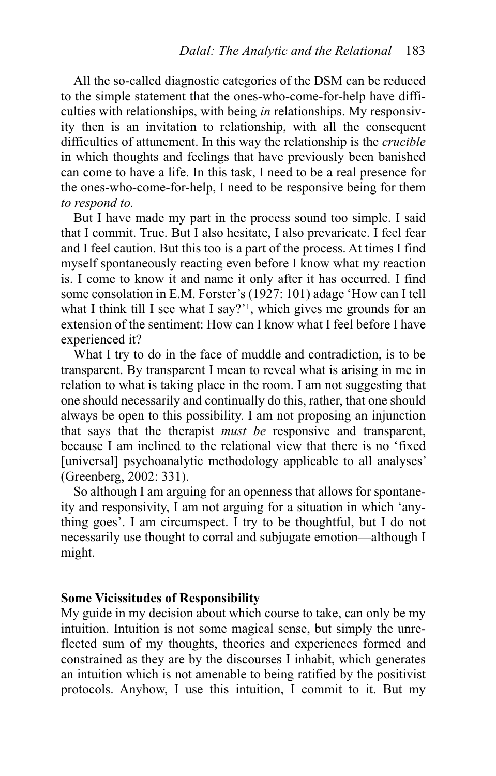All the so-called diagnostic categories of the DSM can be reduced to the simple statement that the ones-who-come-for-help have difficulties with relationships, with being *in* relationships. My responsivity then is an invitation to relationship, with all the consequent difficulties of attunement. In this way the relationship is the *crucible* in which thoughts and feelings that have previously been banished can come to have a life. In this task, I need to be a real presence for the ones-who-come-for-help, I need to be responsive being for them *to respond to.*

But I have made my part in the process sound too simple. I said that I commit. True. But I also hesitate, I also prevaricate. I feel fear and I feel caution. But this too is a part of the process. At times I find myself spontaneously reacting even before I know what my reaction is. I come to know it and name it only after it has occurred. I find some consolation in E.M. Forster's (1927: 101) adage 'How can I tell what I think till I see what I say?<sup>'1</sup>, which gives me grounds for an extension of the sentiment: How can I know what I feel before I have experienced it?

What I try to do in the face of muddle and contradiction, is to be transparent. By transparent I mean to reveal what is arising in me in relation to what is taking place in the room. I am not suggesting that one should necessarily and continually do this, rather, that one should always be open to this possibility. I am not proposing an injunction that says that the therapist *must be* responsive and transparent, because I am inclined to the relational view that there is no 'fixed [universal] psychoanalytic methodology applicable to all analyses' (Greenberg, 2002: 331).

So although I am arguing for an openness that allows for spontaneity and responsivity, I am not arguing for a situation in which 'anything goes'. I am circumspect. I try to be thoughtful, but I do not necessarily use thought to corral and subjugate emotion—although I might.

#### **Some Vicissitudes of Responsibility**

My guide in my decision about which course to take, can only be my intuition. Intuition is not some magical sense, but simply the unreflected sum of my thoughts, theories and experiences formed and constrained as they are by the discourses I inhabit, which generates an intuition which is not amenable to being ratified by the positivist protocols. Anyhow, I use this intuition, I commit to it. But my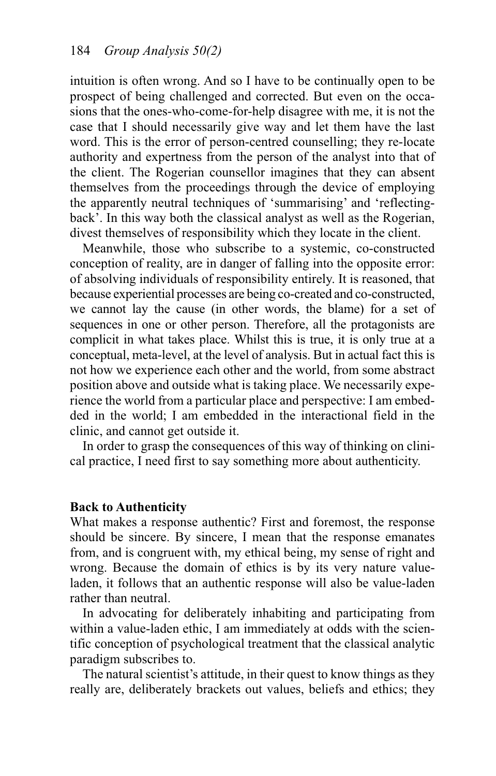intuition is often wrong. And so I have to be continually open to be prospect of being challenged and corrected. But even on the occasions that the ones-who-come-for-help disagree with me, it is not the case that I should necessarily give way and let them have the last word. This is the error of person-centred counselling; they re-locate authority and expertness from the person of the analyst into that of the client. The Rogerian counsellor imagines that they can absent themselves from the proceedings through the device of employing the apparently neutral techniques of 'summarising' and 'reflectingback'. In this way both the classical analyst as well as the Rogerian, divest themselves of responsibility which they locate in the client.

Meanwhile, those who subscribe to a systemic, co-constructed conception of reality, are in danger of falling into the opposite error: of absolving individuals of responsibility entirely. It is reasoned, that because experiential processes are being co-created and co-constructed, we cannot lay the cause (in other words, the blame) for a set of sequences in one or other person. Therefore, all the protagonists are complicit in what takes place. Whilst this is true, it is only true at a conceptual, meta-level, at the level of analysis. But in actual fact this is not how we experience each other and the world, from some abstract position above and outside what is taking place. We necessarily experience the world from a particular place and perspective: I am embedded in the world; I am embedded in the interactional field in the clinic, and cannot get outside it.

In order to grasp the consequences of this way of thinking on clinical practice, I need first to say something more about authenticity.

## **Back to Authenticity**

What makes a response authentic? First and foremost, the response should be sincere. By sincere, I mean that the response emanates from, and is congruent with, my ethical being, my sense of right and wrong. Because the domain of ethics is by its very nature valueladen, it follows that an authentic response will also be value-laden rather than neutral.

In advocating for deliberately inhabiting and participating from within a value-laden ethic, I am immediately at odds with the scientific conception of psychological treatment that the classical analytic paradigm subscribes to.

The natural scientist's attitude, in their quest to know things as they really are, deliberately brackets out values, beliefs and ethics; they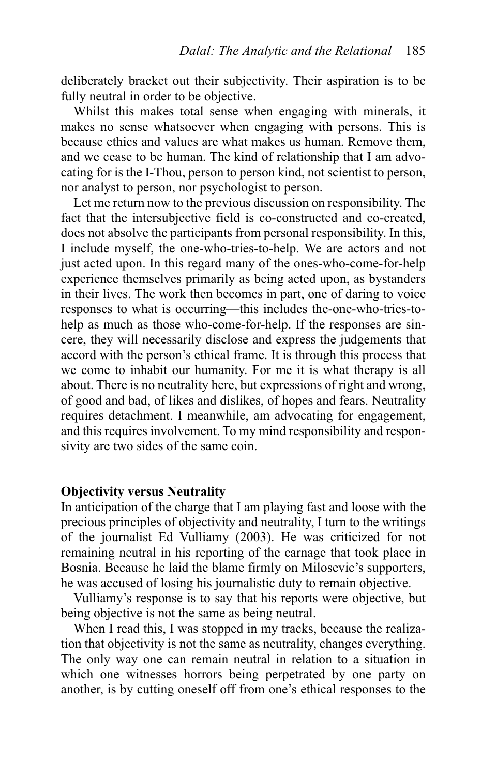deliberately bracket out their subjectivity. Their aspiration is to be fully neutral in order to be objective.

Whilst this makes total sense when engaging with minerals, it makes no sense whatsoever when engaging with persons. This is because ethics and values are what makes us human. Remove them, and we cease to be human. The kind of relationship that I am advocating for is the I-Thou, person to person kind, not scientist to person, nor analyst to person, nor psychologist to person.

Let me return now to the previous discussion on responsibility. The fact that the intersubjective field is co-constructed and co-created, does not absolve the participants from personal responsibility. In this, I include myself, the one-who-tries-to-help. We are actors and not just acted upon. In this regard many of the ones-who-come-for-help experience themselves primarily as being acted upon, as bystanders in their lives. The work then becomes in part, one of daring to voice responses to what is occurring—this includes the-one-who-tries-tohelp as much as those who-come-for-help. If the responses are sincere, they will necessarily disclose and express the judgements that accord with the person's ethical frame. It is through this process that we come to inhabit our humanity. For me it is what therapy is all about. There is no neutrality here, but expressions of right and wrong, of good and bad, of likes and dislikes, of hopes and fears. Neutrality requires detachment. I meanwhile, am advocating for engagement, and this requires involvement. To my mind responsibility and responsivity are two sides of the same coin.

## **Objectivity versus Neutrality**

In anticipation of the charge that I am playing fast and loose with the precious principles of objectivity and neutrality, I turn to the writings of the journalist Ed Vulliamy (2003). He was criticized for not remaining neutral in his reporting of the carnage that took place in Bosnia. Because he laid the blame firmly on Milosevic's supporters, he was accused of losing his journalistic duty to remain objective.

Vulliamy's response is to say that his reports were objective, but being objective is not the same as being neutral.

When I read this, I was stopped in my tracks, because the realization that objectivity is not the same as neutrality, changes everything. The only way one can remain neutral in relation to a situation in which one witnesses horrors being perpetrated by one party on another, is by cutting oneself off from one's ethical responses to the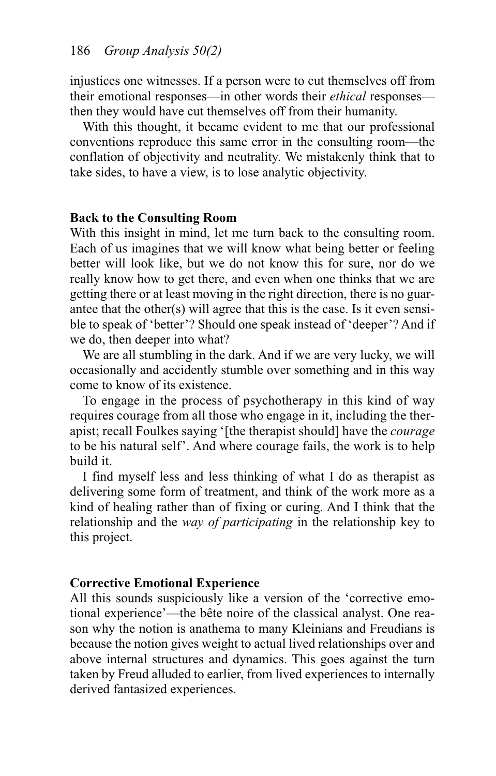injustices one witnesses. If a person were to cut themselves off from their emotional responses—in other words their *ethical* responses then they would have cut themselves off from their humanity.

With this thought, it became evident to me that our professional conventions reproduce this same error in the consulting room—the conflation of objectivity and neutrality. We mistakenly think that to take sides, to have a view, is to lose analytic objectivity.

## **Back to the Consulting Room**

With this insight in mind, let me turn back to the consulting room. Each of us imagines that we will know what being better or feeling better will look like, but we do not know this for sure, nor do we really know how to get there, and even when one thinks that we are getting there or at least moving in the right direction, there is no guarantee that the other(s) will agree that this is the case. Is it even sensible to speak of 'better'? Should one speak instead of 'deeper'? And if we do, then deeper into what?

We are all stumbling in the dark. And if we are very lucky, we will occasionally and accidently stumble over something and in this way come to know of its existence.

To engage in the process of psychotherapy in this kind of way requires courage from all those who engage in it, including the therapist; recall Foulkes saying '[the therapist should] have the *courage* to be his natural self'. And where courage fails, the work is to help build it.

I find myself less and less thinking of what I do as therapist as delivering some form of treatment, and think of the work more as a kind of healing rather than of fixing or curing. And I think that the relationship and the *way of participating* in the relationship key to this project.

## **Corrective Emotional Experience**

All this sounds suspiciously like a version of the 'corrective emotional experience'—the bête noire of the classical analyst. One reason why the notion is anathema to many Kleinians and Freudians is because the notion gives weight to actual lived relationships over and above internal structures and dynamics. This goes against the turn taken by Freud alluded to earlier, from lived experiences to internally derived fantasized experiences.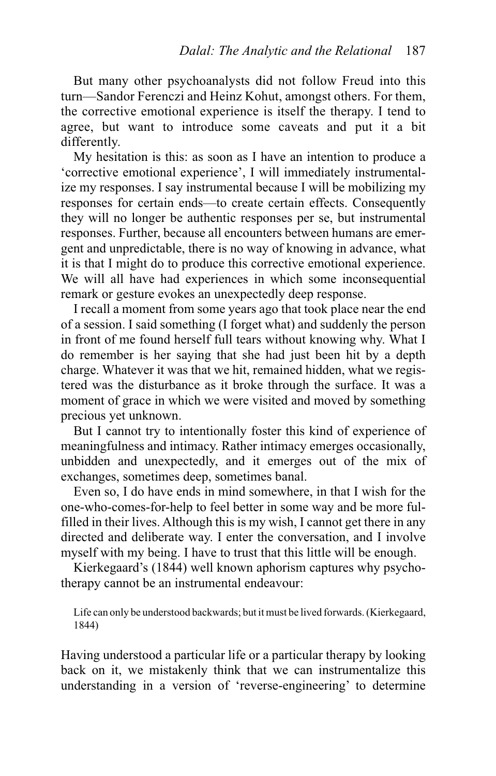But many other psychoanalysts did not follow Freud into this turn—Sandor Ferenczi and Heinz Kohut, amongst others. For them, the corrective emotional experience is itself the therapy. I tend to agree, but want to introduce some caveats and put it a bit differently.

My hesitation is this: as soon as I have an intention to produce a 'corrective emotional experience', I will immediately instrumentalize my responses. I say instrumental because I will be mobilizing my responses for certain ends—to create certain effects. Consequently they will no longer be authentic responses per se, but instrumental responses. Further, because all encounters between humans are emergent and unpredictable, there is no way of knowing in advance, what it is that I might do to produce this corrective emotional experience. We will all have had experiences in which some inconsequential remark or gesture evokes an unexpectedly deep response.

I recall a moment from some years ago that took place near the end of a session. I said something (I forget what) and suddenly the person in front of me found herself full tears without knowing why. What I do remember is her saying that she had just been hit by a depth charge. Whatever it was that we hit, remained hidden, what we registered was the disturbance as it broke through the surface. It was a moment of grace in which we were visited and moved by something precious yet unknown.

But I cannot try to intentionally foster this kind of experience of meaningfulness and intimacy. Rather intimacy emerges occasionally, unbidden and unexpectedly, and it emerges out of the mix of exchanges, sometimes deep, sometimes banal.

Even so, I do have ends in mind somewhere, in that I wish for the one-who-comes-for-help to feel better in some way and be more fulfilled in their lives. Although this is my wish, I cannot get there in any directed and deliberate way. I enter the conversation, and I involve myself with my being. I have to trust that this little will be enough.

Kierkegaard's (1844) well known aphorism captures why psychotherapy cannot be an instrumental endeavour:

Life can only be understood backwards; but it must be lived forwards. (Kierkegaard, 1844)

Having understood a particular life or a particular therapy by looking back on it, we mistakenly think that we can instrumentalize this understanding in a version of 'reverse-engineering' to determine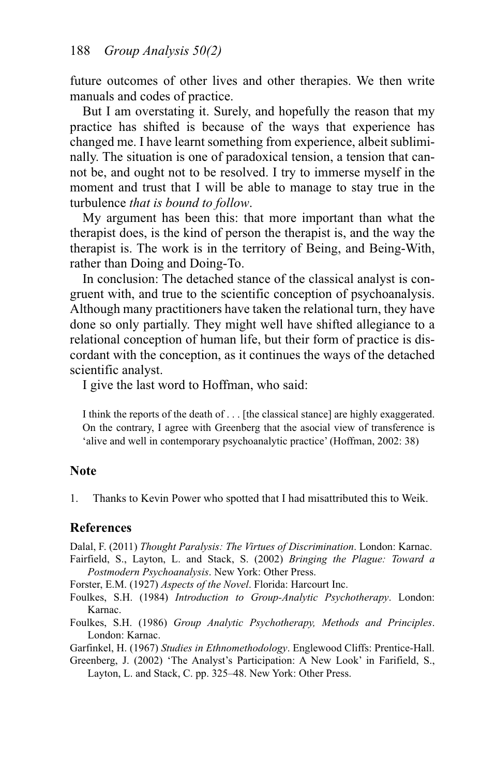future outcomes of other lives and other therapies. We then write manuals and codes of practice.

But I am overstating it. Surely, and hopefully the reason that my practice has shifted is because of the ways that experience has changed me. I have learnt something from experience, albeit subliminally. The situation is one of paradoxical tension, a tension that cannot be, and ought not to be resolved. I try to immerse myself in the moment and trust that I will be able to manage to stay true in the turbulence *that is bound to follow*.

My argument has been this: that more important than what the therapist does, is the kind of person the therapist is, and the way the therapist is. The work is in the territory of Being, and Being-With, rather than Doing and Doing-To.

In conclusion: The detached stance of the classical analyst is congruent with, and true to the scientific conception of psychoanalysis. Although many practitioners have taken the relational turn, they have done so only partially. They might well have shifted allegiance to a relational conception of human life, but their form of practice is discordant with the conception, as it continues the ways of the detached scientific analyst.

I give the last word to Hoffman, who said:

I think the reports of the death of . . . [the classical stance] are highly exaggerated. On the contrary, I agree with Greenberg that the asocial view of transference is 'alive and well in contemporary psychoanalytic practice' (Hoffman, 2002: 38)

## **Note**

1. Thanks to Kevin Power who spotted that I had misattributed this to Weik.

## **References**

Dalal, F. (2011) *Thought Paralysis: The Virtues of Discrimination*. London: Karnac.

Fairfield, S., Layton, L. and Stack, S. (2002) *Bringing the Plague: Toward a Postmodern Psychoanalysis*. New York: Other Press.

Forster, E.M. (1927) *Aspects of the Novel*. Florida: Harcourt Inc.

- Foulkes, S.H. (1984) *Introduction to Group-Analytic Psychotherapy*. London: Karnac.
- Foulkes, S.H. (1986) *Group Analytic Psychotherapy, Methods and Principles*. London: Karnac.

Garfinkel, H. (1967) *Studies in Ethnomethodology*. Englewood Cliffs: Prentice-Hall.

Greenberg, J. (2002) 'The Analyst's Participation: A New Look' in Farifield, S., Layton, L. and Stack, C. pp. 325–48. New York: Other Press.